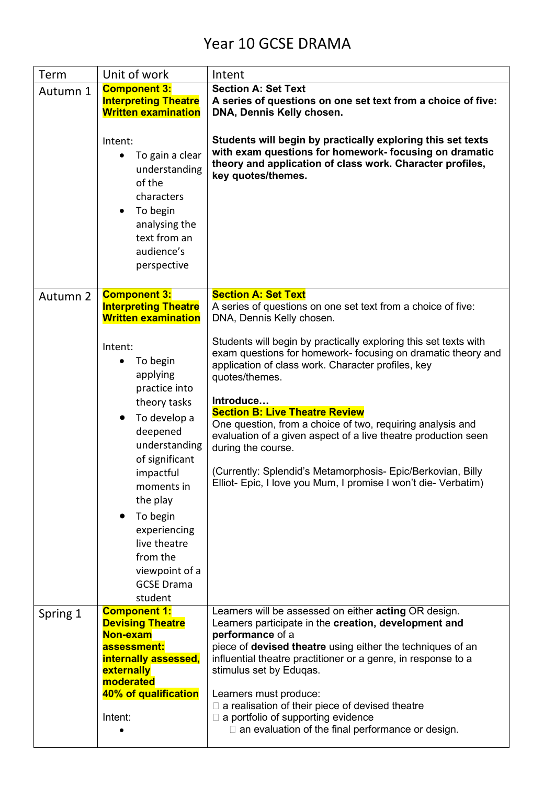## Year 10 GCSE DRAMA

| Term     | Unit of work                                                                                                                                                                                                                                                                     | Intent                                                                                                                                                                                                                                                                                                                                                                                                                                                                                                                                                |
|----------|----------------------------------------------------------------------------------------------------------------------------------------------------------------------------------------------------------------------------------------------------------------------------------|-------------------------------------------------------------------------------------------------------------------------------------------------------------------------------------------------------------------------------------------------------------------------------------------------------------------------------------------------------------------------------------------------------------------------------------------------------------------------------------------------------------------------------------------------------|
| Autumn 1 | <b>Component 3:</b><br><b>Interpreting Theatre</b><br><b>Written examination</b>                                                                                                                                                                                                 | <b>Section A: Set Text</b><br>A series of questions on one set text from a choice of five:<br>DNA, Dennis Kelly chosen.                                                                                                                                                                                                                                                                                                                                                                                                                               |
|          | Intent:<br>To gain a clear<br>understanding<br>of the<br>characters<br>To begin<br>$\bullet$<br>analysing the<br>text from an<br>audience's<br>perspective                                                                                                                       | Students will begin by practically exploring this set texts<br>with exam questions for homework- focusing on dramatic<br>theory and application of class work. Character profiles,<br>key quotes/themes.                                                                                                                                                                                                                                                                                                                                              |
| Autumn 2 | <b>Component 3:</b><br><b>Interpreting Theatre</b><br><b>Written examination</b>                                                                                                                                                                                                 | <b>Section A: Set Text</b><br>A series of questions on one set text from a choice of five:<br>DNA, Dennis Kelly chosen.                                                                                                                                                                                                                                                                                                                                                                                                                               |
|          | Intent:<br>To begin<br>applying<br>practice into<br>theory tasks<br>To develop a<br>deepened<br>understanding<br>of significant<br>impactful<br>moments in<br>the play<br>To begin<br>experiencing<br>live theatre<br>from the<br>viewpoint of a<br><b>GCSE Drama</b><br>student | Students will begin by practically exploring this set texts with<br>exam questions for homework- focusing on dramatic theory and<br>application of class work. Character profiles, key<br>quotes/themes.<br>Introduce<br><b>Section B: Live Theatre Review</b><br>One question, from a choice of two, requiring analysis and<br>evaluation of a given aspect of a live theatre production seen<br>during the course.<br>(Currently: Splendid's Metamorphosis- Epic/Berkovian, Billy<br>Elliot- Epic, I love you Mum, I promise I won't die- Verbatim) |
| Spring 1 | <b>Component 1:</b><br><b>Devising Theatre</b><br>Non-exam<br>assessment:<br>internally assessed,<br>externally<br>moderated<br>40% of qualification<br>Intent:                                                                                                                  | Learners will be assessed on either <b>acting</b> OR design.<br>Learners participate in the creation, development and<br>performance of a<br>piece of <b>devised theatre</b> using either the techniques of an<br>influential theatre practitioner or a genre, in response to a<br>stimulus set by Eduqas.<br>Learners must produce:<br>$\Box$ a realisation of their piece of devised theatre<br>$\Box$ a portfolio of supporting evidence<br>$\Box$ an evaluation of the final performance or design.                                               |